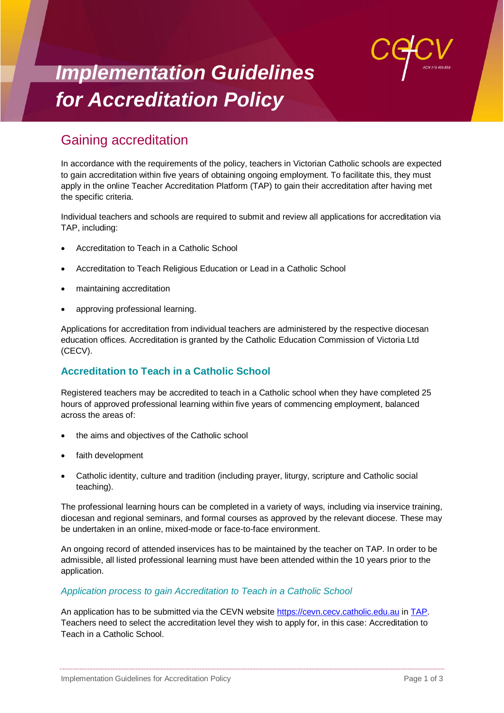

# *Implementation Guidelines for Accreditation Policy*

# Gaining accreditation

In accordance with the requirements of the policy, teachers in Victorian Catholic schools are expected to gain accreditation within five years of obtaining ongoing employment. To facilitate this, they must apply in the online Teacher Accreditation Platform (TAP) to gain their accreditation after having met the specific criteria.

Individual teachers and schools are required to submit and review all applications for accreditation via TAP, including:

- Accreditation to Teach in a Catholic School
- Accreditation to Teach Religious Education or Lead in a Catholic School
- maintaining accreditation
- approving professional learning.

Applications for accreditation from individual teachers are administered by the respective diocesan education offices. Accreditation is granted by the Catholic Education Commission of Victoria Ltd (CECV).

## **Accreditation to Teach in a Catholic School**

Registered teachers may be accredited to teach in a Catholic school when they have completed 25 hours of approved professional learning within five years of commencing employment, balanced across the areas of:

- the aims and objectives of the Catholic school
- faith development
- Catholic identity, culture and tradition (including prayer, liturgy, scripture and Catholic social teaching).

The professional learning hours can be completed in a variety of ways, including via inservice training, diocesan and regional seminars, and formal courses as approved by the relevant diocese. These may be undertaken in an online, mixed-mode or face-to-face environment.

An ongoing record of attended inservices has to be maintained by the teacher on TAP. In order to be admissible, all listed professional learning must have been attended within the 10 years prior to the application.

#### *Application process to gain Accreditation to Teach in a Catholic School*

An application has to be submitted via the CEVN website [https://cevn.cecv.catholic.edu.au](https://cevn.cecv.catholic.edu.au/) in [TAP.](https://cevn.cecv.catholic.edu.au/Melb/PL/Teacher-Accreditation-Platform-(TAP)) Teachers need to select the accreditation level they wish to apply for, in this case: Accreditation to Teach in a Catholic School.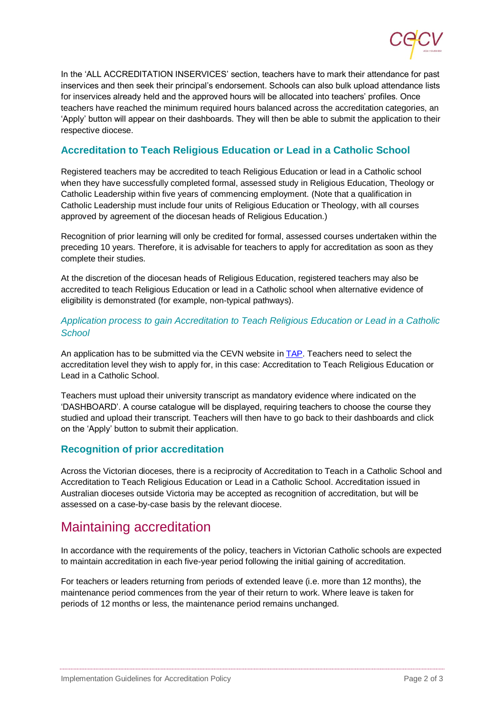

In the 'ALL ACCREDITATION INSERVICES' section, teachers have to mark their attendance for past inservices and then seek their principal's endorsement. Schools can also bulk upload attendance lists for inservices already held and the approved hours will be allocated into teachers' profiles. Once teachers have reached the minimum required hours balanced across the accreditation categories, an 'Apply' button will appear on their dashboards. They will then be able to submit the application to their respective diocese.

## **Accreditation to Teach Religious Education or Lead in a Catholic School**

Registered teachers may be accredited to teach Religious Education or lead in a Catholic school when they have successfully completed formal, assessed study in Religious Education, Theology or Catholic Leadership within five years of commencing employment. (Note that a qualification in Catholic Leadership must include four units of Religious Education or Theology, with all courses approved by agreement of the diocesan heads of Religious Education.)

Recognition of prior learning will only be credited for formal, assessed courses undertaken within the preceding 10 years. Therefore, it is advisable for teachers to apply for accreditation as soon as they complete their studies.

At the discretion of the diocesan heads of Religious Education, registered teachers may also be accredited to teach Religious Education or lead in a Catholic school when alternative evidence of eligibility is demonstrated (for example, non-typical pathways).

#### *Application process to gain Accreditation to Teach Religious Education or Lead in a Catholic School*

An application has to be submitted via the CEVN website i[n TAP.](https://cevn.cecv.catholic.edu.au/Melb/PL/Teacher-Accreditation-Platform-(TAP)) Teachers need to select the accreditation level they wish to apply for, in this case: Accreditation to Teach Religious Education or Lead in a Catholic School.

Teachers must upload their university transcript as mandatory evidence where indicated on the 'DASHBOARD'. A course catalogue will be displayed, requiring teachers to choose the course they studied and upload their transcript. Teachers will then have to go back to their dashboards and click on the 'Apply' button to submit their application.

#### **Recognition of prior accreditation**

Across the Victorian dioceses, there is a reciprocity of Accreditation to Teach in a Catholic School and Accreditation to Teach Religious Education or Lead in a Catholic School. Accreditation issued in Australian dioceses outside Victoria may be accepted as recognition of accreditation, but will be assessed on a case-by-case basis by the relevant diocese.

# Maintaining accreditation

In accordance with the requirements of the policy, teachers in Victorian Catholic schools are expected to maintain accreditation in each five-year period following the initial gaining of accreditation.

For teachers or leaders returning from periods of extended leave (i.e. more than 12 months), the maintenance period commences from the year of their return to work. Where leave is taken for periods of 12 months or less, the maintenance period remains unchanged.